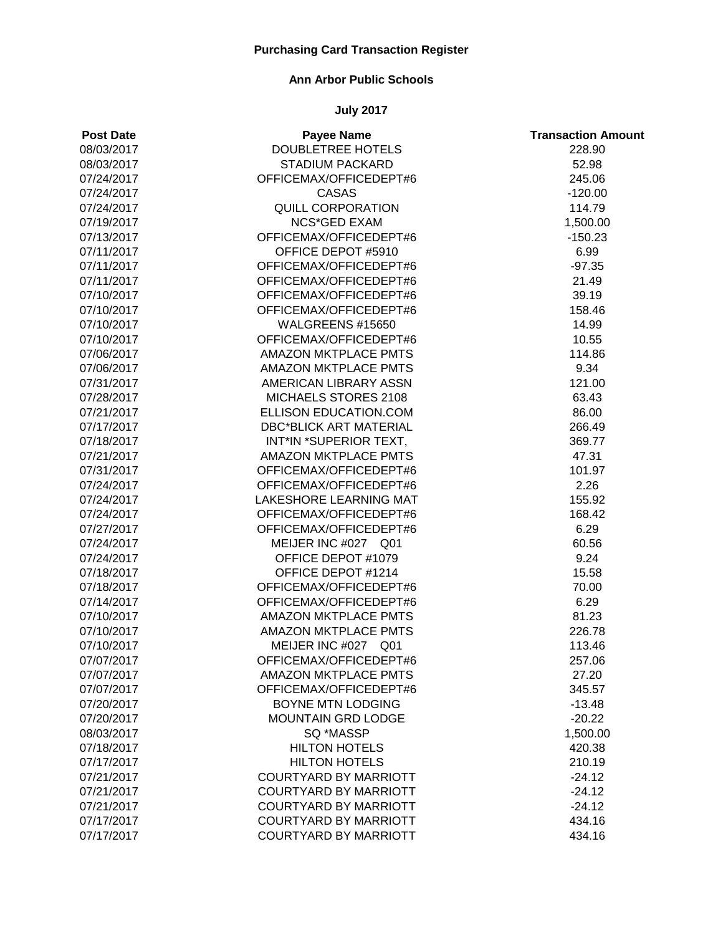### **Ann Arbor Public Schools**

| <b>Post Date</b> | <b>Payee Name</b>             | <b>Transaction Amount</b> |
|------------------|-------------------------------|---------------------------|
| 08/03/2017       | <b>DOUBLETREE HOTELS</b>      | 228.90                    |
| 08/03/2017       | <b>STADIUM PACKARD</b>        | 52.98                     |
| 07/24/2017       | OFFICEMAX/OFFICEDEPT#6        | 245.06                    |
| 07/24/2017       | <b>CASAS</b>                  | $-120.00$                 |
| 07/24/2017       | <b>QUILL CORPORATION</b>      | 114.79                    |
| 07/19/2017       | <b>NCS*GED EXAM</b>           | 1,500.00                  |
| 07/13/2017       | OFFICEMAX/OFFICEDEPT#6        | $-150.23$                 |
| 07/11/2017       | OFFICE DEPOT #5910            | 6.99                      |
| 07/11/2017       | OFFICEMAX/OFFICEDEPT#6        | $-97.35$                  |
| 07/11/2017       | OFFICEMAX/OFFICEDEPT#6        | 21.49                     |
| 07/10/2017       | OFFICEMAX/OFFICEDEPT#6        | 39.19                     |
| 07/10/2017       | OFFICEMAX/OFFICEDEPT#6        | 158.46                    |
| 07/10/2017       | WALGREENS #15650              | 14.99                     |
| 07/10/2017       | OFFICEMAX/OFFICEDEPT#6        | 10.55                     |
| 07/06/2017       | <b>AMAZON MKTPLACE PMTS</b>   | 114.86                    |
| 07/06/2017       | <b>AMAZON MKTPLACE PMTS</b>   | 9.34                      |
| 07/31/2017       | AMERICAN LIBRARY ASSN         | 121.00                    |
| 07/28/2017       | MICHAELS STORES 2108          | 63.43                     |
| 07/21/2017       | ELLISON EDUCATION.COM         | 86.00                     |
| 07/17/2017       | <b>DBC*BLICK ART MATERIAL</b> | 266.49                    |
| 07/18/2017       | INT*IN *SUPERIOR TEXT,        | 369.77                    |
| 07/21/2017       | <b>AMAZON MKTPLACE PMTS</b>   | 47.31                     |
| 07/31/2017       | OFFICEMAX/OFFICEDEPT#6        | 101.97                    |
| 07/24/2017       | OFFICEMAX/OFFICEDEPT#6        | 2.26                      |
| 07/24/2017       | LAKESHORE LEARNING MAT        | 155.92                    |
| 07/24/2017       | OFFICEMAX/OFFICEDEPT#6        | 168.42                    |
| 07/27/2017       | OFFICEMAX/OFFICEDEPT#6        | 6.29                      |
| 07/24/2017       | MEIJER INC #027 Q01           | 60.56                     |
| 07/24/2017       | OFFICE DEPOT #1079            | 9.24                      |
| 07/18/2017       | OFFICE DEPOT #1214            | 15.58                     |
| 07/18/2017       | OFFICEMAX/OFFICEDEPT#6        | 70.00                     |
| 07/14/2017       | OFFICEMAX/OFFICEDEPT#6        | 6.29                      |
| 07/10/2017       | AMAZON MKTPLACE PMTS          | 81.23                     |
| 07/10/2017       | <b>AMAZON MKTPLACE PMTS</b>   | 226.78                    |
| 07/10/2017       | MEIJER INC #027 Q01           | 113.46                    |
| 07/07/2017       | OFFICEMAX/OFFICEDEPT#6        | 257.06                    |
| 07/07/2017       | <b>AMAZON MKTPLACE PMTS</b>   | 27.20                     |
| 07/07/2017       | OFFICEMAX/OFFICEDEPT#6        | 345.57                    |
| 07/20/2017       | BOYNE MTN LODGING             | $-13.48$                  |
| 07/20/2017       | <b>MOUNTAIN GRD LODGE</b>     | $-20.22$                  |
| 08/03/2017       | SQ *MASSP                     | 1,500.00                  |
| 07/18/2017       | <b>HILTON HOTELS</b>          | 420.38                    |
| 07/17/2017       | <b>HILTON HOTELS</b>          | 210.19                    |
| 07/21/2017       | <b>COURTYARD BY MARRIOTT</b>  | $-24.12$                  |
| 07/21/2017       | <b>COURTYARD BY MARRIOTT</b>  | $-24.12$                  |
| 07/21/2017       | <b>COURTYARD BY MARRIOTT</b>  | $-24.12$                  |
| 07/17/2017       | <b>COURTYARD BY MARRIOTT</b>  | 434.16                    |
| 07/17/2017       | <b>COURTYARD BY MARRIOTT</b>  | 434.16                    |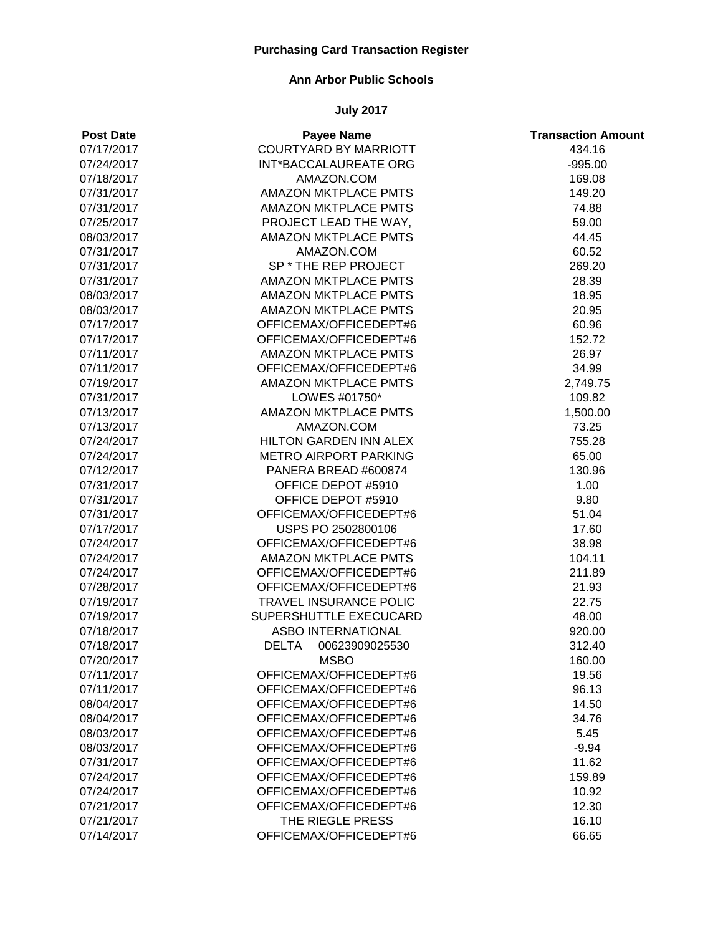# **Ann Arbor Public Schools**

| <b>Post Date</b> | <b>Payee Name</b>              | <b>Transaction Amount</b> |
|------------------|--------------------------------|---------------------------|
| 07/17/2017       | <b>COURTYARD BY MARRIOTT</b>   | 434.16                    |
| 07/24/2017       | INT*BACCALAUREATE ORG          | $-995.00$                 |
| 07/18/2017       | AMAZON.COM                     | 169.08                    |
| 07/31/2017       | <b>AMAZON MKTPLACE PMTS</b>    | 149.20                    |
| 07/31/2017       | <b>AMAZON MKTPLACE PMTS</b>    | 74.88                     |
| 07/25/2017       | PROJECT LEAD THE WAY,          | 59.00                     |
| 08/03/2017       | <b>AMAZON MKTPLACE PMTS</b>    | 44.45                     |
| 07/31/2017       | AMAZON.COM                     | 60.52                     |
| 07/31/2017       | SP * THE REP PROJECT           | 269.20                    |
| 07/31/2017       | <b>AMAZON MKTPLACE PMTS</b>    | 28.39                     |
| 08/03/2017       | <b>AMAZON MKTPLACE PMTS</b>    | 18.95                     |
| 08/03/2017       | <b>AMAZON MKTPLACE PMTS</b>    | 20.95                     |
| 07/17/2017       | OFFICEMAX/OFFICEDEPT#6         | 60.96                     |
| 07/17/2017       | OFFICEMAX/OFFICEDEPT#6         | 152.72                    |
| 07/11/2017       | <b>AMAZON MKTPLACE PMTS</b>    | 26.97                     |
| 07/11/2017       | OFFICEMAX/OFFICEDEPT#6         | 34.99                     |
| 07/19/2017       | <b>AMAZON MKTPLACE PMTS</b>    | 2,749.75                  |
| 07/31/2017       | LOWES #01750*                  | 109.82                    |
| 07/13/2017       | <b>AMAZON MKTPLACE PMTS</b>    | 1,500.00                  |
| 07/13/2017       | AMAZON.COM                     | 73.25                     |
| 07/24/2017       | HILTON GARDEN INN ALEX         | 755.28                    |
| 07/24/2017       | <b>METRO AIRPORT PARKING</b>   | 65.00                     |
| 07/12/2017       | PANERA BREAD #600874           | 130.96                    |
| 07/31/2017       | OFFICE DEPOT #5910             | 1.00                      |
| 07/31/2017       | OFFICE DEPOT #5910             | 9.80                      |
| 07/31/2017       | OFFICEMAX/OFFICEDEPT#6         | 51.04                     |
| 07/17/2017       | USPS PO 2502800106             | 17.60                     |
| 07/24/2017       | OFFICEMAX/OFFICEDEPT#6         | 38.98                     |
| 07/24/2017       | <b>AMAZON MKTPLACE PMTS</b>    | 104.11                    |
| 07/24/2017       | OFFICEMAX/OFFICEDEPT#6         | 211.89                    |
| 07/28/2017       | OFFICEMAX/OFFICEDEPT#6         | 21.93                     |
| 07/19/2017       | <b>TRAVEL INSURANCE POLIC</b>  | 22.75                     |
| 07/19/2017       | SUPERSHUTTLE EXECUCARD         | 48.00                     |
| 07/18/2017       | <b>ASBO INTERNATIONAL</b>      | 920.00                    |
| 07/18/2017       | 00623909025530<br><b>DELTA</b> | 312.40                    |
| 07/20/2017       | <b>MSBO</b>                    | 160.00                    |
| 07/11/2017       | OFFICEMAX/OFFICEDEPT#6         | 19.56                     |
| 07/11/2017       | OFFICEMAX/OFFICEDEPT#6         | 96.13                     |
| 08/04/2017       | OFFICEMAX/OFFICEDEPT#6         | 14.50                     |
| 08/04/2017       | OFFICEMAX/OFFICEDEPT#6         | 34.76                     |
| 08/03/2017       | OFFICEMAX/OFFICEDEPT#6         | 5.45                      |
| 08/03/2017       | OFFICEMAX/OFFICEDEPT#6         | $-9.94$                   |
| 07/31/2017       | OFFICEMAX/OFFICEDEPT#6         | 11.62                     |
| 07/24/2017       | OFFICEMAX/OFFICEDEPT#6         | 159.89                    |
| 07/24/2017       | OFFICEMAX/OFFICEDEPT#6         | 10.92                     |
| 07/21/2017       | OFFICEMAX/OFFICEDEPT#6         | 12.30                     |
| 07/21/2017       | THE RIEGLE PRESS               | 16.10                     |
| 07/14/2017       | OFFICEMAX/OFFICEDEPT#6         | 66.65                     |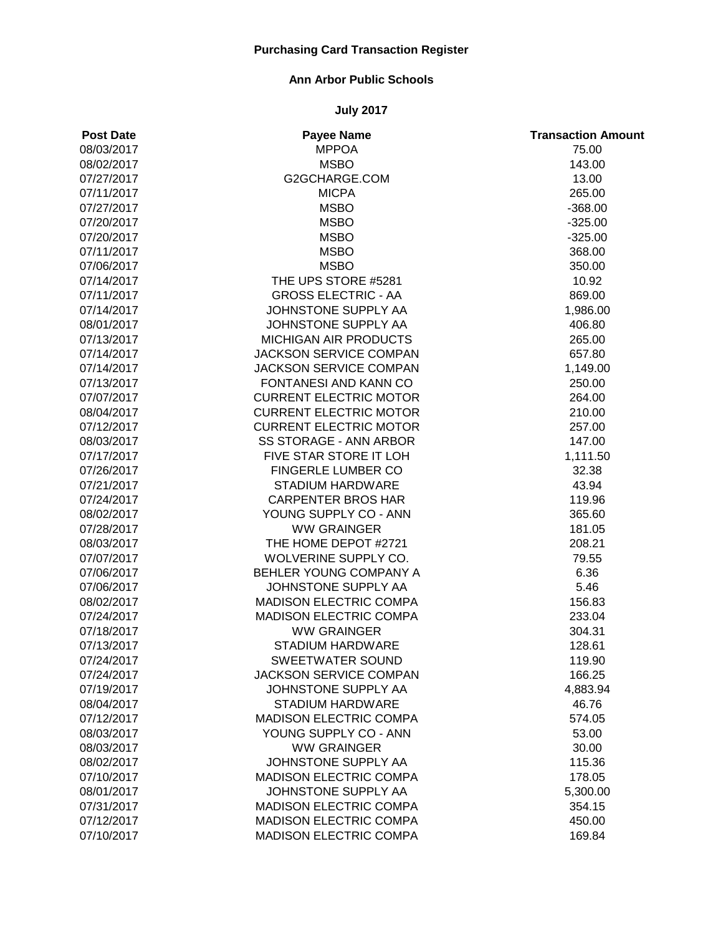### **Ann Arbor Public Schools**

| <b>Post Date</b> | <b>Payee Name</b>             | <b>Transaction Amount</b> |
|------------------|-------------------------------|---------------------------|
| 08/03/2017       | <b>MPPOA</b>                  | 75.00                     |
| 08/02/2017       | <b>MSBO</b>                   | 143.00                    |
| 07/27/2017       | G2GCHARGE.COM                 | 13.00                     |
| 07/11/2017       | <b>MICPA</b>                  | 265.00                    |
| 07/27/2017       | <b>MSBO</b>                   | $-368.00$                 |
| 07/20/2017       | <b>MSBO</b>                   | $-325.00$                 |
| 07/20/2017       | <b>MSBO</b>                   | $-325.00$                 |
| 07/11/2017       | <b>MSBO</b>                   | 368.00                    |
| 07/06/2017       | <b>MSBO</b>                   | 350.00                    |
| 07/14/2017       | THE UPS STORE #5281           | 10.92                     |
| 07/11/2017       | <b>GROSS ELECTRIC - AA</b>    | 869.00                    |
| 07/14/2017       | JOHNSTONE SUPPLY AA           | 1,986.00                  |
| 08/01/2017       | JOHNSTONE SUPPLY AA           | 406.80                    |
| 07/13/2017       | MICHIGAN AIR PRODUCTS         | 265.00                    |
| 07/14/2017       | <b>JACKSON SERVICE COMPAN</b> | 657.80                    |
| 07/14/2017       | JACKSON SERVICE COMPAN        | 1,149.00                  |
| 07/13/2017       | <b>FONTANESI AND KANN CO</b>  | 250.00                    |
| 07/07/2017       | <b>CURRENT ELECTRIC MOTOR</b> | 264.00                    |
| 08/04/2017       | <b>CURRENT ELECTRIC MOTOR</b> | 210.00                    |
| 07/12/2017       | <b>CURRENT ELECTRIC MOTOR</b> | 257.00                    |
| 08/03/2017       | SS STORAGE - ANN ARBOR        | 147.00                    |
| 07/17/2017       | FIVE STAR STORE IT LOH        | 1,111.50                  |
| 07/26/2017       | <b>FINGERLE LUMBER CO</b>     | 32.38                     |
| 07/21/2017       | STADIUM HARDWARE              | 43.94                     |
| 07/24/2017       | <b>CARPENTER BROS HAR</b>     | 119.96                    |
| 08/02/2017       | YOUNG SUPPLY CO - ANN         | 365.60                    |
| 07/28/2017       | <b>WW GRAINGER</b>            | 181.05                    |
| 08/03/2017       | THE HOME DEPOT #2721          | 208.21                    |
| 07/07/2017       | WOLVERINE SUPPLY CO.          | 79.55                     |
| 07/06/2017       | BEHLER YOUNG COMPANY A        | 6.36                      |
| 07/06/2017       | JOHNSTONE SUPPLY AA           | 5.46                      |
| 08/02/2017       | MADISON ELECTRIC COMPA        | 156.83                    |
| 07/24/2017       | <b>MADISON ELECTRIC COMPA</b> | 233.04                    |
| 07/18/2017       | <b>WW GRAINGER</b>            | 304.31                    |
| 07/13/2017       | <b>STADIUM HARDWARE</b>       | 128.61                    |
| 07/24/2017       | SWEETWATER SOUND              | 119.90                    |
| 07/24/2017       | <b>JACKSON SERVICE COMPAN</b> | 166.25                    |
| 07/19/2017       | JOHNSTONE SUPPLY AA           | 4,883.94                  |
| 08/04/2017       | STADIUM HARDWARE              | 46.76                     |
| 07/12/2017       | <b>MADISON ELECTRIC COMPA</b> | 574.05                    |
| 08/03/2017       | YOUNG SUPPLY CO - ANN         | 53.00                     |
| 08/03/2017       | <b>WW GRAINGER</b>            | 30.00                     |
| 08/02/2017       | JOHNSTONE SUPPLY AA           | 115.36                    |
| 07/10/2017       | <b>MADISON ELECTRIC COMPA</b> | 178.05                    |
| 08/01/2017       | JOHNSTONE SUPPLY AA           | 5,300.00                  |
| 07/31/2017       | <b>MADISON ELECTRIC COMPA</b> | 354.15                    |
| 07/12/2017       | <b>MADISON ELECTRIC COMPA</b> | 450.00                    |
| 07/10/2017       | MADISON ELECTRIC COMPA        | 169.84                    |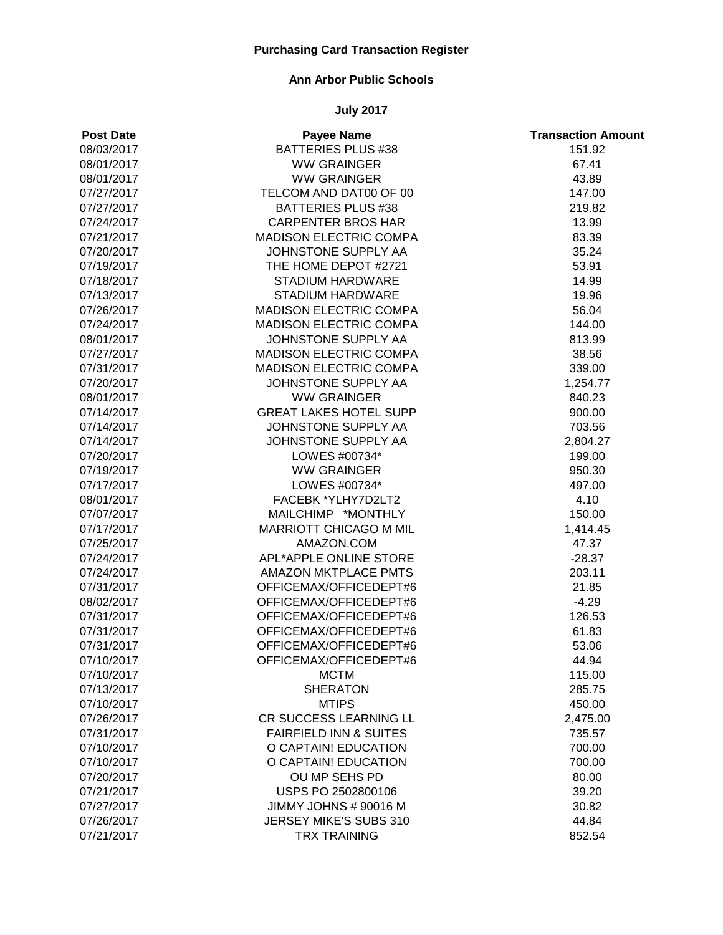### **Ann Arbor Public Schools**

| <b>Post Date</b> | <b>Payee Name</b>                 | <b>Transaction Amount</b> |
|------------------|-----------------------------------|---------------------------|
| 08/03/2017       | <b>BATTERIES PLUS #38</b>         | 151.92                    |
| 08/01/2017       | <b>WW GRAINGER</b>                | 67.41                     |
| 08/01/2017       | <b>WW GRAINGER</b>                | 43.89                     |
| 07/27/2017       | TELCOM AND DAT00 OF 00            | 147.00                    |
| 07/27/2017       | <b>BATTERIES PLUS #38</b>         | 219.82                    |
| 07/24/2017       | <b>CARPENTER BROS HAR</b>         | 13.99                     |
| 07/21/2017       | <b>MADISON ELECTRIC COMPA</b>     | 83.39                     |
| 07/20/2017       | JOHNSTONE SUPPLY AA               | 35.24                     |
| 07/19/2017       | THE HOME DEPOT #2721              | 53.91                     |
| 07/18/2017       | <b>STADIUM HARDWARE</b>           | 14.99                     |
| 07/13/2017       | STADIUM HARDWARE                  | 19.96                     |
| 07/26/2017       | MADISON ELECTRIC COMPA            | 56.04                     |
| 07/24/2017       | MADISON ELECTRIC COMPA            | 144.00                    |
| 08/01/2017       | JOHNSTONE SUPPLY AA               | 813.99                    |
| 07/27/2017       | MADISON ELECTRIC COMPA            | 38.56                     |
| 07/31/2017       | <b>MADISON ELECTRIC COMPA</b>     | 339.00                    |
| 07/20/2017       | JOHNSTONE SUPPLY AA               | 1,254.77                  |
| 08/01/2017       | <b>WW GRAINGER</b>                | 840.23                    |
| 07/14/2017       | <b>GREAT LAKES HOTEL SUPP</b>     | 900.00                    |
| 07/14/2017       | JOHNSTONE SUPPLY AA               | 703.56                    |
| 07/14/2017       | JOHNSTONE SUPPLY AA               | 2,804.27                  |
| 07/20/2017       | LOWES #00734*                     | 199.00                    |
| 07/19/2017       | <b>WW GRAINGER</b>                | 950.30                    |
| 07/17/2017       | LOWES #00734*                     | 497.00                    |
| 08/01/2017       | FACEBK *YLHY7D2LT2                | 4.10                      |
| 07/07/2017       | MAILCHIMP *MONTHLY                | 150.00                    |
| 07/17/2017       | MARRIOTT CHICAGO M MIL            | 1,414.45                  |
| 07/25/2017       | AMAZON.COM                        | 47.37                     |
| 07/24/2017       | APL*APPLE ONLINE STORE            | $-28.37$                  |
| 07/24/2017       | <b>AMAZON MKTPLACE PMTS</b>       | 203.11                    |
| 07/31/2017       | OFFICEMAX/OFFICEDEPT#6            | 21.85                     |
| 08/02/2017       | OFFICEMAX/OFFICEDEPT#6            | $-4.29$                   |
| 07/31/2017       | OFFICEMAX/OFFICEDEPT#6            | 126.53                    |
| 07/31/2017       | OFFICEMAX/OFFICEDEPT#6            | 61.83                     |
| 07/31/2017       | OFFICEMAX/OFFICEDEPT#6            | 53.06                     |
| 07/10/2017       | OFFICEMAX/OFFICEDEPT#6            | 44.94                     |
| 07/10/2017       | <b>MCTM</b>                       | 115.00                    |
| 07/13/2017       | <b>SHERATON</b>                   | 285.75                    |
| 07/10/2017       | <b>MTIPS</b>                      | 450.00                    |
| 07/26/2017       | CR SUCCESS LEARNING LL            | 2,475.00                  |
| 07/31/2017       | <b>FAIRFIELD INN &amp; SUITES</b> | 735.57                    |
| 07/10/2017       | O CAPTAIN! EDUCATION              | 700.00                    |
| 07/10/2017       | O CAPTAIN! EDUCATION              | 700.00                    |
| 07/20/2017       | OU MP SEHS PD                     | 80.00                     |
| 07/21/2017       | USPS PO 2502800106                | 39.20                     |
| 07/27/2017       | JIMMY JOHNS # 90016 M             | 30.82                     |
| 07/26/2017       | JERSEY MIKE'S SUBS 310            | 44.84                     |
| 07/21/2017       | <b>TRX TRAINING</b>               | 852.54                    |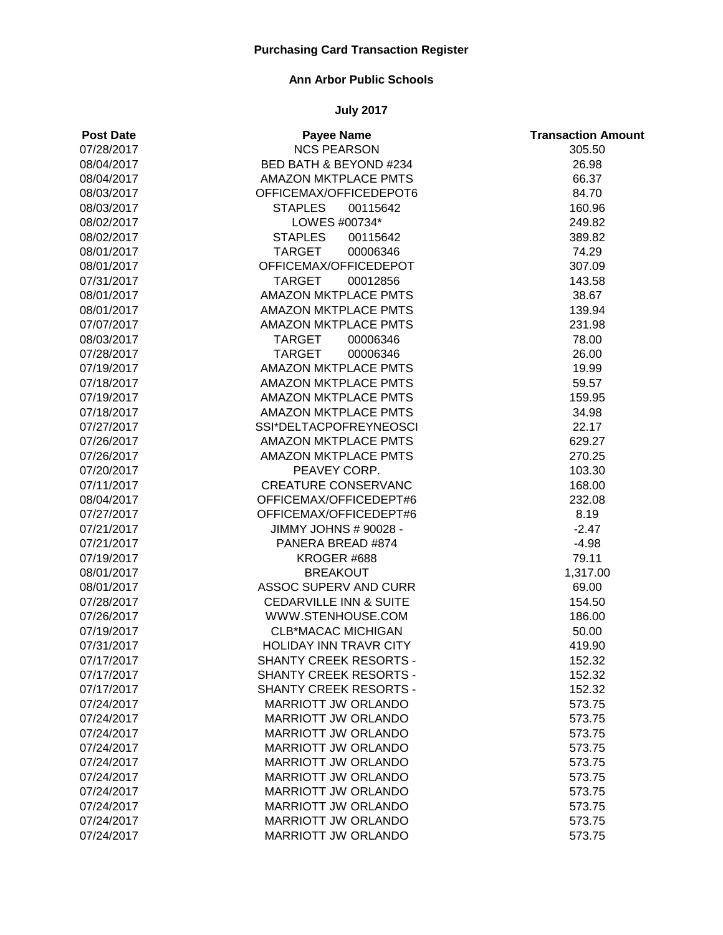### **Ann Arbor Public Schools**

| <b>Post Date</b> | <b>Payee Name</b>                 | <b>Transaction Amount</b> |
|------------------|-----------------------------------|---------------------------|
| 07/28/2017       | <b>NCS PEARSON</b>                | 305.50                    |
| 08/04/2017       | BED BATH & BEYOND #234            | 26.98                     |
| 08/04/2017       | <b>AMAZON MKTPLACE PMTS</b>       | 66.37                     |
| 08/03/2017       | OFFICEMAX/OFFICEDEPOT6            | 84.70                     |
| 08/03/2017       | <b>STAPLES</b><br>00115642        | 160.96                    |
| 08/02/2017       | LOWES #00734*                     | 249.82                    |
| 08/02/2017       | <b>STAPLES</b><br>00115642        | 389.82                    |
| 08/01/2017       | <b>TARGET</b><br>00006346         | 74.29                     |
| 08/01/2017       | OFFICEMAX/OFFICEDEPOT             | 307.09                    |
| 07/31/2017       | TARGET<br>00012856                | 143.58                    |
| 08/01/2017       | <b>AMAZON MKTPLACE PMTS</b>       | 38.67                     |
| 08/01/2017       | <b>AMAZON MKTPLACE PMTS</b>       | 139.94                    |
| 07/07/2017       | <b>AMAZON MKTPLACE PMTS</b>       | 231.98                    |
| 08/03/2017       | <b>TARGET</b><br>00006346         | 78.00                     |
| 07/28/2017       | <b>TARGET</b><br>00006346         | 26.00                     |
| 07/19/2017       | <b>AMAZON MKTPLACE PMTS</b>       | 19.99                     |
| 07/18/2017       | <b>AMAZON MKTPLACE PMTS</b>       | 59.57                     |
| 07/19/2017       | <b>AMAZON MKTPLACE PMTS</b>       | 159.95                    |
| 07/18/2017       | <b>AMAZON MKTPLACE PMTS</b>       | 34.98                     |
| 07/27/2017       | SSI*DELTACPOFREYNEOSCI            | 22.17                     |
| 07/26/2017       | <b>AMAZON MKTPLACE PMTS</b>       | 629.27                    |
| 07/26/2017       | <b>AMAZON MKTPLACE PMTS</b>       | 270.25                    |
| 07/20/2017       | PEAVEY CORP.                      | 103.30                    |
| 07/11/2017       | <b>CREATURE CONSERVANC</b>        | 168.00                    |
| 08/04/2017       | OFFICEMAX/OFFICEDEPT#6            | 232.08                    |
| 07/27/2017       | OFFICEMAX/OFFICEDEPT#6            | 8.19                      |
| 07/21/2017       | JIMMY JOHNS # 90028 -             | $-2.47$                   |
| 07/21/2017       | PANERA BREAD #874                 | $-4.98$                   |
| 07/19/2017       | KROGER #688                       | 79.11                     |
| 08/01/2017       | <b>BREAKOUT</b>                   | 1,317.00                  |
| 08/01/2017       | <b>ASSOC SUPERV AND CURR</b>      | 69.00                     |
| 07/28/2017       | <b>CEDARVILLE INN &amp; SUITE</b> | 154.50                    |
| 07/26/2017       | WWW.STENHOUSE.COM                 | 186.00                    |
| 07/19/2017       | <b>CLB*MACAC MICHIGAN</b>         | 50.00                     |
| 07/31/2017       | <b>HOLIDAY INN TRAVR CITY</b>     | 419.90                    |
| 07/17/2017       | SHANTY CREEK RESORTS -            | 152.32                    |
| 07/17/2017       | SHANTY CREEK RESORTS -            | 152.32                    |
| 07/17/2017       | <b>SHANTY CREEK RESORTS -</b>     | 152.32                    |
| 07/24/2017       | MARRIOTT JW ORLANDO               | 573.75                    |
| 07/24/2017       | MARRIOTT JW ORLANDO               | 573.75                    |
| 07/24/2017       | MARRIOTT JW ORLANDO               | 573.75                    |
| 07/24/2017       | MARRIOTT JW ORLANDO               | 573.75                    |
| 07/24/2017       | MARRIOTT JW ORLANDO               | 573.75                    |
| 07/24/2017       | <b>MARRIOTT JW ORLANDO</b>        | 573.75                    |
| 07/24/2017       | <b>MARRIOTT JW ORLANDO</b>        | 573.75                    |
| 07/24/2017       | <b>MARRIOTT JW ORLANDO</b>        | 573.75                    |
| 07/24/2017       | MARRIOTT JW ORLANDO               | 573.75                    |
| 07/24/2017       | MARRIOTT JW ORLANDO               | 573.75                    |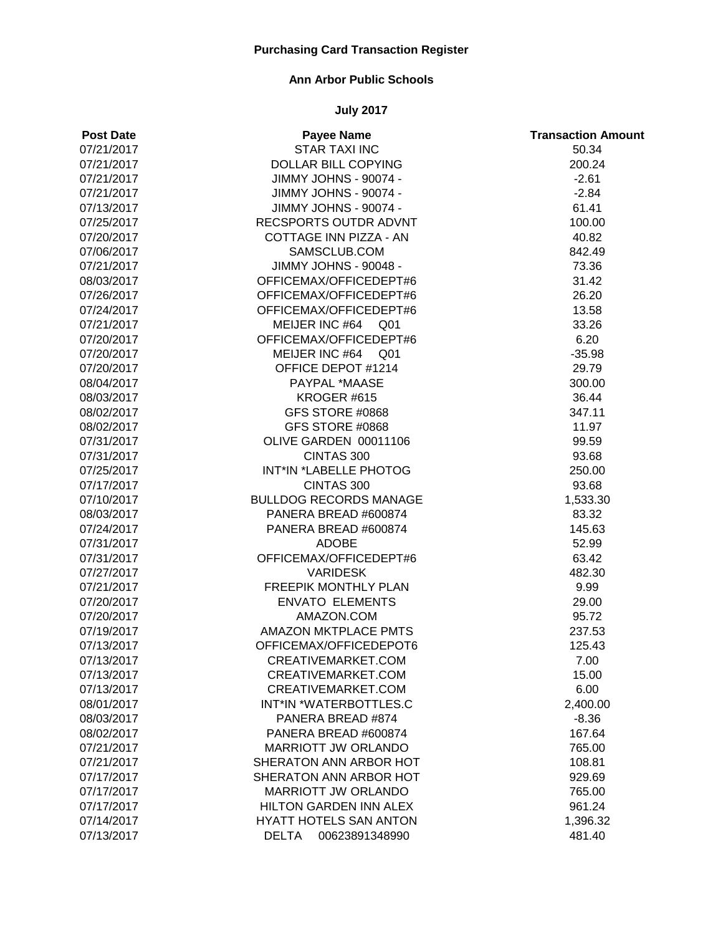### **Ann Arbor Public Schools**

| <b>Post Date</b> | <b>Payee Name</b>              | <b>Transaction Amount</b> |
|------------------|--------------------------------|---------------------------|
| 07/21/2017       | <b>STAR TAXI INC</b>           | 50.34                     |
| 07/21/2017       | <b>DOLLAR BILL COPYING</b>     | 200.24                    |
| 07/21/2017       | JIMMY JOHNS - 90074 -          | $-2.61$                   |
| 07/21/2017       | <b>JIMMY JOHNS - 90074 -</b>   | $-2.84$                   |
| 07/13/2017       | JIMMY JOHNS - 90074 -          | 61.41                     |
| 07/25/2017       | RECSPORTS OUTDR ADVNT          | 100.00                    |
| 07/20/2017       | COTTAGE INN PIZZA - AN         | 40.82                     |
| 07/06/2017       | SAMSCLUB.COM                   | 842.49                    |
| 07/21/2017       | JIMMY JOHNS - 90048 -          | 73.36                     |
| 08/03/2017       | OFFICEMAX/OFFICEDEPT#6         | 31.42                     |
| 07/26/2017       | OFFICEMAX/OFFICEDEPT#6         | 26.20                     |
| 07/24/2017       | OFFICEMAX/OFFICEDEPT#6         | 13.58                     |
| 07/21/2017       | MEIJER INC #64 Q01             | 33.26                     |
| 07/20/2017       | OFFICEMAX/OFFICEDEPT#6         | 6.20                      |
| 07/20/2017       | MEIJER INC #64 Q01             | $-35.98$                  |
| 07/20/2017       | OFFICE DEPOT #1214             | 29.79                     |
| 08/04/2017       | PAYPAL *MAASE                  | 300.00                    |
| 08/03/2017       | KROGER #615                    | 36.44                     |
| 08/02/2017       | GFS STORE #0868                | 347.11                    |
| 08/02/2017       | GFS STORE #0868                | 11.97                     |
| 07/31/2017       | OLIVE GARDEN 00011106          | 99.59                     |
| 07/31/2017       | CINTAS 300                     | 93.68                     |
| 07/25/2017       | INT*IN *LABELLE PHOTOG         | 250.00                    |
| 07/17/2017       | CINTAS 300                     | 93.68                     |
| 07/10/2017       | <b>BULLDOG RECORDS MANAGE</b>  | 1,533.30                  |
| 08/03/2017       | PANERA BREAD #600874           | 83.32                     |
| 07/24/2017       | PANERA BREAD #600874           | 145.63                    |
| 07/31/2017       | <b>ADOBE</b>                   | 52.99                     |
| 07/31/2017       | OFFICEMAX/OFFICEDEPT#6         | 63.42                     |
| 07/27/2017       | <b>VARIDESK</b>                | 482.30                    |
| 07/21/2017       | <b>FREEPIK MONTHLY PLAN</b>    | 9.99                      |
| 07/20/2017       | <b>ENVATO ELEMENTS</b>         | 29.00                     |
| 07/20/2017       | AMAZON.COM                     | 95.72                     |
| 07/19/2017       | <b>AMAZON MKTPLACE PMTS</b>    | 237.53                    |
| 07/13/2017       | OFFICEMAX/OFFICEDEPOT6         | 125.43                    |
| 07/13/2017       | CREATIVEMARKET.COM             | 7.00                      |
| 07/13/2017       | CREATIVEMARKET.COM             | 15.00                     |
| 07/13/2017       | CREATIVEMARKET.COM             | 6.00                      |
| 08/01/2017       | INT*IN *WATERBOTTLES.C         | 2,400.00                  |
| 08/03/2017       | PANERA BREAD #874              | $-8.36$                   |
| 08/02/2017       | PANERA BREAD #600874           | 167.64                    |
| 07/21/2017       | <b>MARRIOTT JW ORLANDO</b>     | 765.00                    |
| 07/21/2017       | SHERATON ANN ARBOR HOT         | 108.81                    |
| 07/17/2017       | SHERATON ANN ARBOR HOT         | 929.69                    |
| 07/17/2017       | MARRIOTT JW ORLANDO            | 765.00                    |
| 07/17/2017       | HILTON GARDEN INN ALEX         | 961.24                    |
| 07/14/2017       | <b>HYATT HOTELS SAN ANTON</b>  | 1,396.32                  |
| 07/13/2017       | <b>DELTA</b><br>00623891348990 | 481.40                    |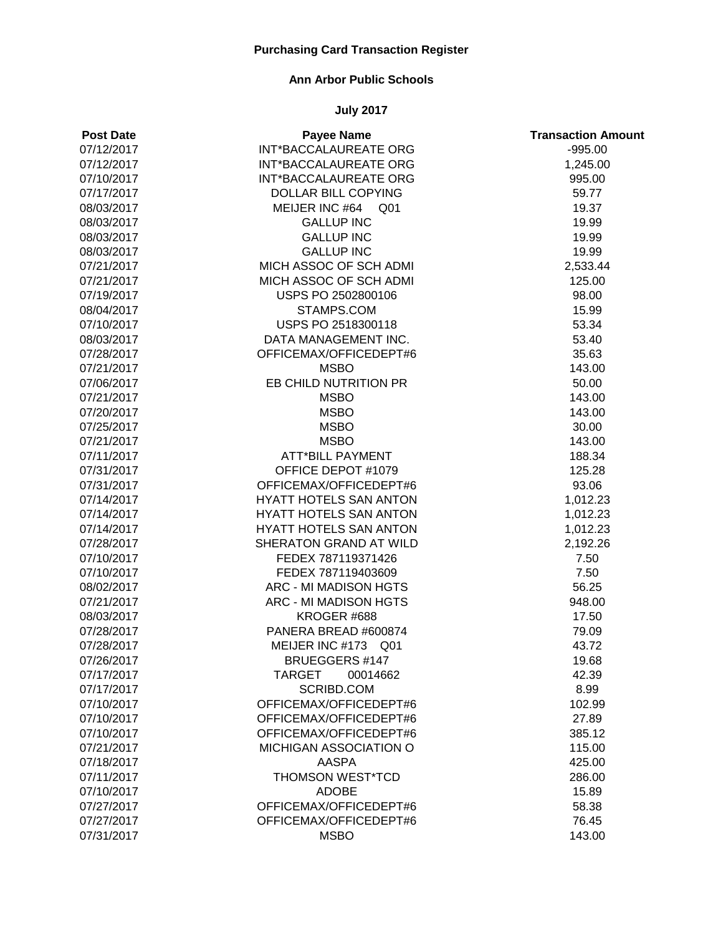### **Ann Arbor Public Schools**

| <b>Post Date</b> | <b>Payee Name</b>            | <b>Transaction Amount</b> |
|------------------|------------------------------|---------------------------|
| 07/12/2017       | INT*BACCALAUREATE ORG        | $-995.00$                 |
| 07/12/2017       | <b>INT*BACCALAUREATE ORG</b> | 1,245.00                  |
| 07/10/2017       | <b>INT*BACCALAUREATE ORG</b> | 995.00                    |
| 07/17/2017       | <b>DOLLAR BILL COPYING</b>   | 59.77                     |
| 08/03/2017       | MEIJER INC #64<br>Q01        | 19.37                     |
| 08/03/2017       | <b>GALLUP INC</b>            | 19.99                     |
| 08/03/2017       | <b>GALLUP INC</b>            | 19.99                     |
| 08/03/2017       | <b>GALLUP INC</b>            | 19.99                     |
| 07/21/2017       | MICH ASSOC OF SCH ADMI       | 2,533.44                  |
| 07/21/2017       | MICH ASSOC OF SCH ADMI       | 125.00                    |
| 07/19/2017       | USPS PO 2502800106           | 98.00                     |
| 08/04/2017       | STAMPS.COM                   | 15.99                     |
| 07/10/2017       | USPS PO 2518300118           | 53.34                     |
| 08/03/2017       | DATA MANAGEMENT INC.         | 53.40                     |
| 07/28/2017       | OFFICEMAX/OFFICEDEPT#6       | 35.63                     |
| 07/21/2017       | <b>MSBO</b>                  | 143.00                    |
| 07/06/2017       | EB CHILD NUTRITION PR        | 50.00                     |
| 07/21/2017       | <b>MSBO</b>                  | 143.00                    |
| 07/20/2017       | <b>MSBO</b>                  | 143.00                    |
| 07/25/2017       | <b>MSBO</b>                  | 30.00                     |
| 07/21/2017       | <b>MSBO</b>                  | 143.00                    |
| 07/11/2017       | <b>ATT*BILL PAYMENT</b>      | 188.34                    |
| 07/31/2017       | OFFICE DEPOT #1079           | 125.28                    |
| 07/31/2017       | OFFICEMAX/OFFICEDEPT#6       | 93.06                     |
| 07/14/2017       | HYATT HOTELS SAN ANTON       | 1,012.23                  |
| 07/14/2017       | HYATT HOTELS SAN ANTON       | 1,012.23                  |
| 07/14/2017       | HYATT HOTELS SAN ANTON       | 1,012.23                  |
| 07/28/2017       | SHERATON GRAND AT WILD       | 2,192.26                  |
| 07/10/2017       | FEDEX 787119371426           | 7.50                      |
| 07/10/2017       | FEDEX 787119403609           | 7.50                      |
| 08/02/2017       | ARC - MI MADISON HGTS        | 56.25                     |
| 07/21/2017       | ARC - MI MADISON HGTS        | 948.00                    |
| 08/03/2017       | KROGER #688                  | 17.50                     |
| 07/28/2017       | PANERA BREAD #600874         | 79.09                     |
| 07/28/2017       | MEIJER INC #173 Q01          | 43.72                     |
| 07/26/2017       | <b>BRUEGGERS #147</b>        | 19.68                     |
| 07/17/2017       | TARGET<br>00014662           | 42.39                     |
| 07/17/2017       | SCRIBD.COM                   | 8.99                      |
| 07/10/2017       | OFFICEMAX/OFFICEDEPT#6       | 102.99                    |
| 07/10/2017       | OFFICEMAX/OFFICEDEPT#6       | 27.89                     |
| 07/10/2017       | OFFICEMAX/OFFICEDEPT#6       | 385.12                    |
| 07/21/2017       | MICHIGAN ASSOCIATION O       | 115.00                    |
| 07/18/2017       | <b>AASPA</b>                 | 425.00                    |
| 07/11/2017       | <b>THOMSON WEST*TCD</b>      | 286.00                    |
| 07/10/2017       | <b>ADOBE</b>                 | 15.89                     |
| 07/27/2017       | OFFICEMAX/OFFICEDEPT#6       | 58.38                     |
| 07/27/2017       | OFFICEMAX/OFFICEDEPT#6       | 76.45                     |
| 07/31/2017       | <b>MSBO</b>                  | 143.00                    |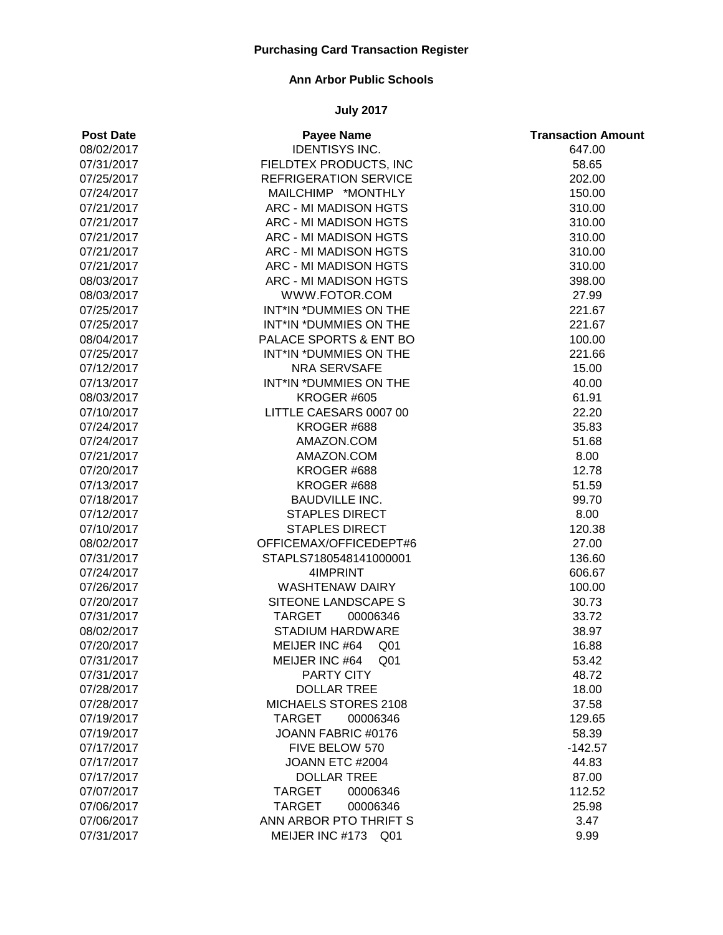### **Ann Arbor Public Schools**

| <b>Post Date</b> | <b>Payee Name</b>                 | <b>Transaction Amount</b> |
|------------------|-----------------------------------|---------------------------|
| 08/02/2017       | <b>IDENTISYS INC.</b>             | 647.00                    |
| 07/31/2017       | FIELDTEX PRODUCTS, INC            | 58.65                     |
| 07/25/2017       | <b>REFRIGERATION SERVICE</b>      | 202.00                    |
| 07/24/2017       | MAILCHIMP *MONTHLY                | 150.00                    |
| 07/21/2017       | <b>ARC - MI MADISON HGTS</b>      | 310.00                    |
| 07/21/2017       | ARC - MI MADISON HGTS             | 310.00                    |
| 07/21/2017       | <b>ARC - MI MADISON HGTS</b>      | 310.00                    |
| 07/21/2017       | ARC - MI MADISON HGTS             | 310.00                    |
| 07/21/2017       | ARC - MI MADISON HGTS             | 310.00                    |
| 08/03/2017       | ARC - MI MADISON HGTS             | 398.00                    |
| 08/03/2017       | WWW.FOTOR.COM                     | 27.99                     |
| 07/25/2017       | INT*IN *DUMMIES ON THE            | 221.67                    |
| 07/25/2017       | INT*IN *DUMMIES ON THE            | 221.67                    |
| 08/04/2017       | PALACE SPORTS & ENT BO            | 100.00                    |
| 07/25/2017       | INT*IN *DUMMIES ON THE            | 221.66                    |
| 07/12/2017       | <b>NRA SERVSAFE</b>               | 15.00                     |
| 07/13/2017       | INT*IN *DUMMIES ON THE            | 40.00                     |
| 08/03/2017       | <b>KROGER #605</b>                | 61.91                     |
| 07/10/2017       | LITTLE CAESARS 0007 00            | 22.20                     |
| 07/24/2017       | KROGER #688                       | 35.83                     |
| 07/24/2017       | AMAZON.COM                        | 51.68                     |
| 07/21/2017       | AMAZON.COM                        | 8.00                      |
| 07/20/2017       | KROGER #688                       | 12.78                     |
| 07/13/2017       | KROGER #688                       | 51.59                     |
| 07/18/2017       | <b>BAUDVILLE INC.</b>             | 99.70                     |
| 07/12/2017       | <b>STAPLES DIRECT</b>             | 8.00                      |
| 07/10/2017       | <b>STAPLES DIRECT</b>             | 120.38                    |
| 08/02/2017       | OFFICEMAX/OFFICEDEPT#6            | 27.00                     |
| 07/31/2017       | STAPLS7180548141000001            | 136.60                    |
| 07/24/2017       | 4IMPRINT                          | 606.67                    |
| 07/26/2017       | <b>WASHTENAW DAIRY</b>            | 100.00                    |
| 07/20/2017       | SITEONE LANDSCAPE S               | 30.73                     |
| 07/31/2017       | <b>TARGET</b><br>00006346         | 33.72                     |
| 08/02/2017       | STADIUM HARDWARE                  | 38.97                     |
| 07/20/2017       | MEIJER INC #64<br>Q <sub>01</sub> | 16.88                     |
| 07/31/2017       | MEIJER INC #64 Q01                | 53.42                     |
| 07/31/2017       | PARTY CITY                        | 48.72                     |
| 07/28/2017       | <b>DOLLAR TREE</b>                | 18.00                     |
| 07/28/2017       | MICHAELS STORES 2108              | 37.58                     |
| 07/19/2017       | <b>TARGET</b><br>00006346         | 129.65                    |
| 07/19/2017       | JOANN FABRIC #0176                | 58.39                     |
| 07/17/2017       | FIVE BELOW 570                    | $-142.57$                 |
| 07/17/2017       | JOANN ETC #2004                   | 44.83                     |
| 07/17/2017       | <b>DOLLAR TREE</b>                | 87.00                     |
| 07/07/2017       | <b>TARGET</b><br>00006346         | 112.52                    |
| 07/06/2017       | <b>TARGET</b><br>00006346         | 25.98                     |
| 07/06/2017       | ANN ARBOR PTO THRIFT S            | 3.47                      |
| 07/31/2017       | MEIJER INC #173 Q01               | 9.99                      |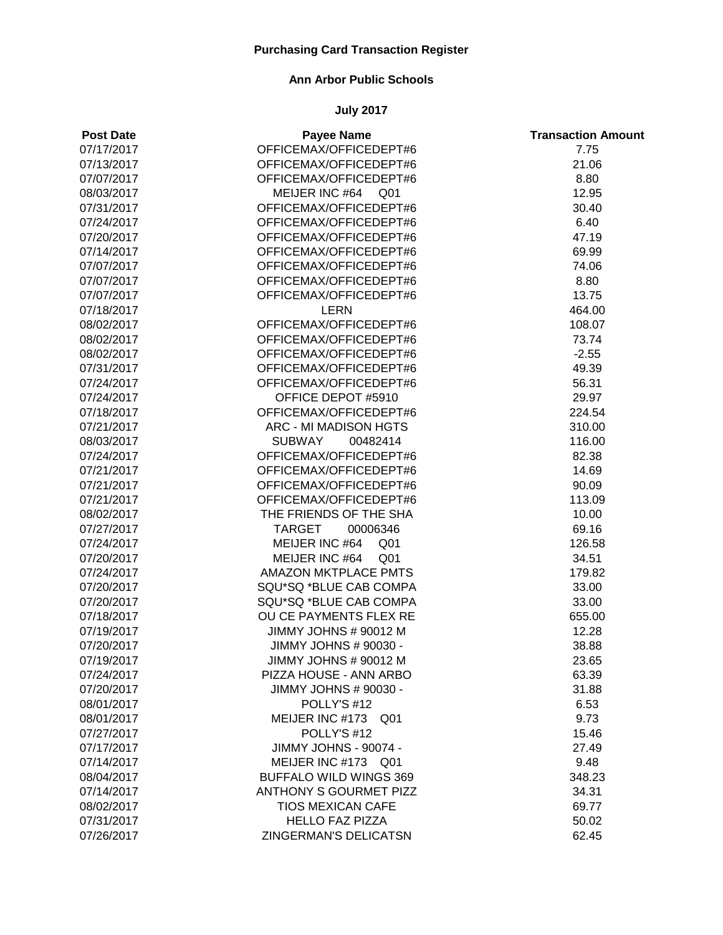#### **Ann Arbor Public Schools**

| <b>Post Date</b> | <b>Payee Name</b>                 | <b>Transaction Amount</b> |
|------------------|-----------------------------------|---------------------------|
| 07/17/2017       | OFFICEMAX/OFFICEDEPT#6            | 7.75                      |
| 07/13/2017       | OFFICEMAX/OFFICEDEPT#6            | 21.06                     |
| 07/07/2017       | OFFICEMAX/OFFICEDEPT#6            | 8.80                      |
| 08/03/2017       | MEIJER INC #64<br>Q01             | 12.95                     |
| 07/31/2017       | OFFICEMAX/OFFICEDEPT#6            | 30.40                     |
| 07/24/2017       | OFFICEMAX/OFFICEDEPT#6            | 6.40                      |
| 07/20/2017       | OFFICEMAX/OFFICEDEPT#6            | 47.19                     |
| 07/14/2017       | OFFICEMAX/OFFICEDEPT#6            | 69.99                     |
| 07/07/2017       | OFFICEMAX/OFFICEDEPT#6            | 74.06                     |
| 07/07/2017       | OFFICEMAX/OFFICEDEPT#6            | 8.80                      |
| 07/07/2017       | OFFICEMAX/OFFICEDEPT#6            | 13.75                     |
| 07/18/2017       | <b>LERN</b>                       | 464.00                    |
| 08/02/2017       | OFFICEMAX/OFFICEDEPT#6            | 108.07                    |
| 08/02/2017       | OFFICEMAX/OFFICEDEPT#6            | 73.74                     |
| 08/02/2017       | OFFICEMAX/OFFICEDEPT#6            | $-2.55$                   |
| 07/31/2017       | OFFICEMAX/OFFICEDEPT#6            | 49.39                     |
| 07/24/2017       | OFFICEMAX/OFFICEDEPT#6            | 56.31                     |
| 07/24/2017       | OFFICE DEPOT #5910                | 29.97                     |
| 07/18/2017       | OFFICEMAX/OFFICEDEPT#6            | 224.54                    |
| 07/21/2017       | ARC - MI MADISON HGTS             | 310.00                    |
| 08/03/2017       | <b>SUBWAY</b><br>00482414         | 116.00                    |
| 07/24/2017       | OFFICEMAX/OFFICEDEPT#6            | 82.38                     |
| 07/21/2017       | OFFICEMAX/OFFICEDEPT#6            | 14.69                     |
| 07/21/2017       | OFFICEMAX/OFFICEDEPT#6            | 90.09                     |
| 07/21/2017       | OFFICEMAX/OFFICEDEPT#6            | 113.09                    |
| 08/02/2017       | THE FRIENDS OF THE SHA            | 10.00                     |
| 07/27/2017       | <b>TARGET</b><br>00006346         | 69.16                     |
| 07/24/2017       | MEIJER INC #64<br>Q <sub>01</sub> | 126.58                    |
| 07/20/2017       | MEIJER INC #64<br>Q <sub>01</sub> | 34.51                     |
| 07/24/2017       | <b>AMAZON MKTPLACE PMTS</b>       | 179.82                    |
| 07/20/2017       | SQU*SQ *BLUE CAB COMPA            | 33.00                     |
| 07/20/2017       | SQU*SQ *BLUE CAB COMPA            | 33.00                     |
| 07/18/2017       | OU CE PAYMENTS FLEX RE            | 655.00                    |
| 07/19/2017       | JIMMY JOHNS # 90012 M             | 12.28                     |
| 07/20/2017       | JIMMY JOHNS # 90030 -             | 38.88                     |
| 07/19/2017       | JIMMY JOHNS # 90012 M             | 23.65                     |
| 07/24/2017       | PIZZA HOUSE - ANN ARBO            | 63.39                     |
| 07/20/2017       | JIMMY JOHNS # 90030 -             | 31.88                     |
| 08/01/2017       | POLLY'S #12                       | 6.53                      |
| 08/01/2017       | MEIJER INC #173<br>Q01            | 9.73                      |
| 07/27/2017       | POLLY'S #12                       | 15.46                     |
| 07/17/2017       | JIMMY JOHNS - 90074 -             | 27.49                     |
| 07/14/2017       | MEIJER INC #173 Q01               | 9.48                      |
| 08/04/2017       | <b>BUFFALO WILD WINGS 369</b>     | 348.23                    |
| 07/14/2017       | ANTHONY S GOURMET PIZZ            | 34.31                     |
| 08/02/2017       | <b>TIOS MEXICAN CAFE</b>          | 69.77                     |
| 07/31/2017       | <b>HELLO FAZ PIZZA</b>            | 50.02                     |
| 07/26/2017       | ZINGERMAN'S DELICATSN             | 62.45                     |